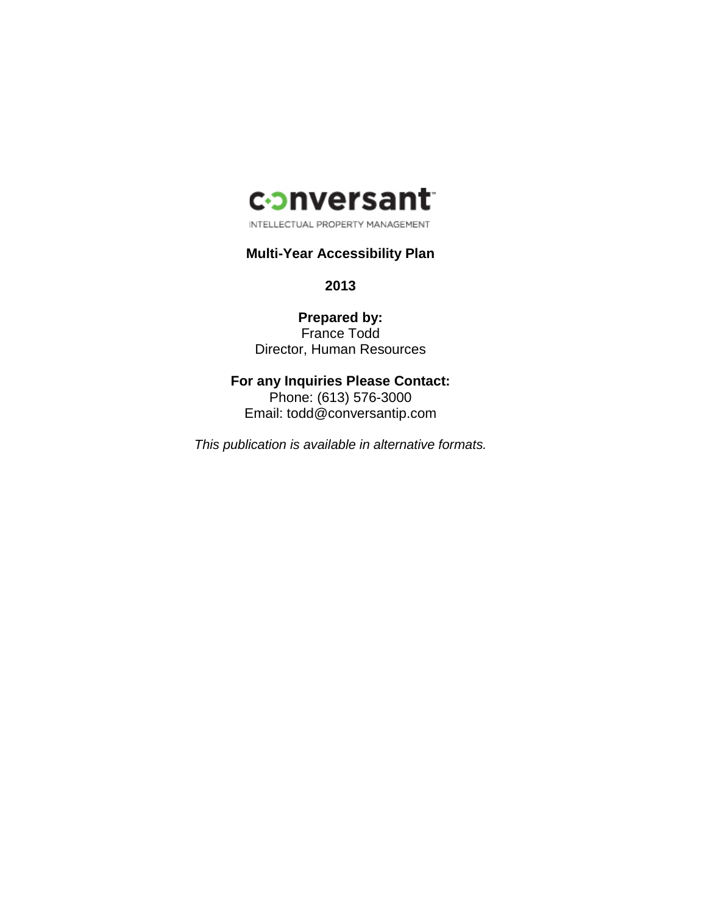

INTELLECTUAL PROPERTY MANAGEMENT

# **Multi-Year Accessibility Plan**

**2013**

**Prepared by:** France Todd Director, Human Resources

**For any Inquiries Please Contact:** Phone: (613) 576-3000 Email: todd@conversantip.com

*This publication is available in alternative formats.*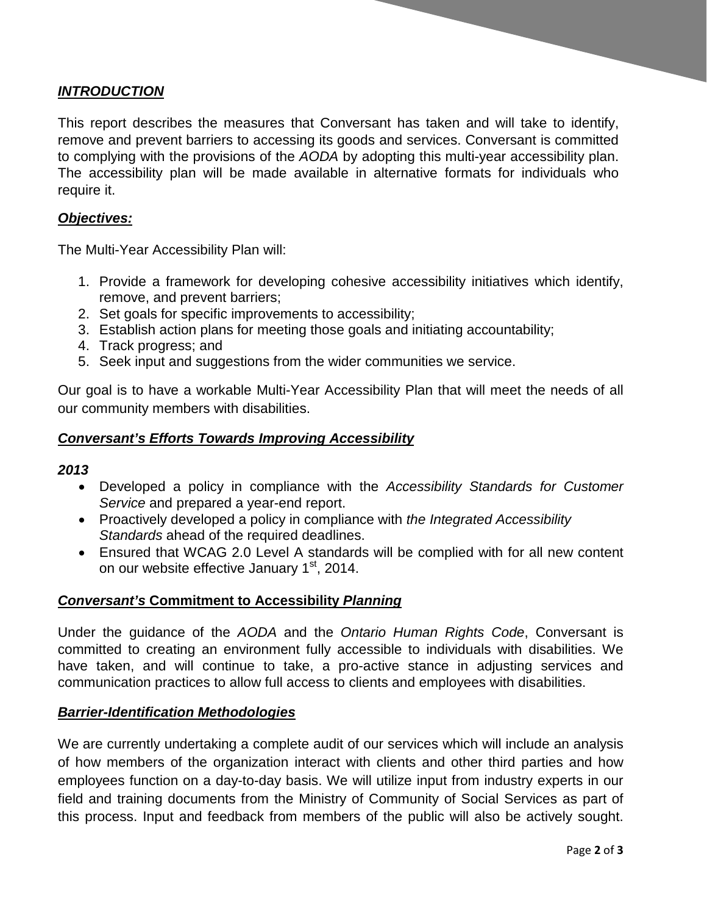# *INTRODUCTION*

This report describes the measures that Conversant has taken and will take to identify, remove and prevent barriers to accessing its goods and services. Conversant is committed to complying with the provisions of the *AODA* by adopting this multi-year accessibility plan. The accessibility plan will be made available in alternative formats for individuals who require it.

# *Objectives:*

The Multi-Year Accessibility Plan will:

- 1. Provide a framework for developing cohesive accessibility initiatives which identify, remove, and prevent barriers;
- 2. Set goals for specific improvements to accessibility;
- 3. Establish action plans for meeting those goals and initiating accountability;
- 4. Track progress; and
- 5. Seek input and suggestions from the wider communities we service.

Our goal is to have a workable Multi-Year Accessibility Plan that will meet the needs of all our community members with disabilities.

# *Conversant's Efforts Towards Improving Accessibility*

# *2013*

- Developed a policy in compliance with the *Accessibility Standards for Customer Service* and prepared a year-end report.
- Proactively developed a policy in compliance with *the Integrated Accessibility Standards* ahead of the required deadlines.
- Ensured that WCAG 2.0 Level A standards will be complied with for all new content on our website effective January 1<sup>st</sup>, 2014.

# *Conversant's* **Commitment to Accessibility** *Planning*

Under the guidance of the *AODA* and the *Ontario Human Rights Code*, Conversant is committed to creating an environment fully accessible to individuals with disabilities. We have taken, and will continue to take, a pro-active stance in adjusting services and communication practices to allow full access to clients and employees with disabilities.

# *Barrier-Identification Methodologies*

We are currently undertaking a complete audit of our services which will include an analysis of how members of the organization interact with clients and other third parties and how employees function on a day-to-day basis. We will utilize input from industry experts in our field and training documents from the Ministry of Community of Social Services as part of this process. Input and feedback from members of the public will also be actively sought.